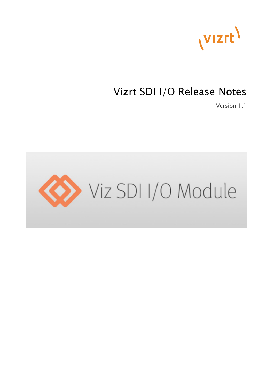

## Vizrt SDI I/O Release Notes

Version 1.1

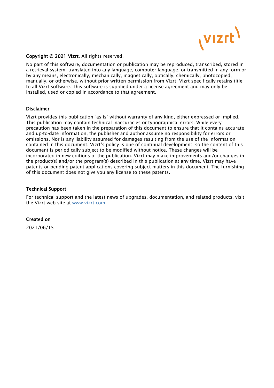

#### Copyright © 2021 Vizrt. All rights reserved.

No part of this software, documentation or publication may be reproduced, transcribed, stored in a retrieval system, translated into any language, computer language, or transmitted in any form or by any means, electronically, mechanically, magnetically, optically, chemically, photocopied, manually, or otherwise, without prior written permission from Vizrt. Vizrt specifically retains title to all Vizrt software. This software is supplied under a license agreement and may only be installed, used or copied in accordance to that agreement.

#### Disclaimer

Vizrt provides this publication "as is" without warranty of any kind, either expressed or implied. This publication may contain technical inaccuracies or typographical errors. While every precaution has been taken in the preparation of this document to ensure that it contains accurate and up-to-date information, the publisher and author assume no responsibility for errors or omissions. Nor is any liability assumed for damages resulting from the use of the information contained in this document. Vizrt's policy is one of continual development, so the content of this document is periodically subject to be modified without notice. These changes will be incorporated in new editions of the publication. Vizrt may make improvements and/or changes in the product(s) and/or the program(s) described in this publication at any time. Vizrt may have patents or pending patent applications covering subject matters in this document. The furnishing of this document does not give you any license to these patents.

#### Technical Support

For technical support and the latest news of upgrades, documentation, and related products, visit the Vizrt web site at [www.vizrt.com.](http://www.vizrt.com)

#### Created on

2021/06/15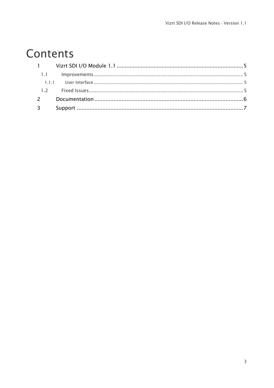# Contents

| $2^{\circ}$ |  |
|-------------|--|
| $3^{\circ}$ |  |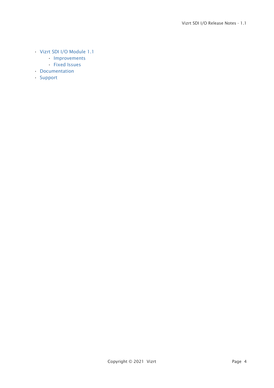- [Vizrt SDI I/O Module 1.1](#page-4-0)
	- [Improvements](#page-4-1)
	- [Fixed Issues](#page-4-3)
- [Documentation](#page-5-0)
- [Support](#page-6-0)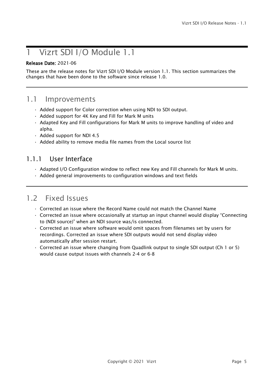### <span id="page-4-0"></span>1 Vizrt SDI I/O Module 1.1

#### Release Date: 2021-06

These are the release notes for Vizrt SDI I/O Module version 1.1. This section summarizes the changes that have been done to the software since release 1.0.

#### <span id="page-4-1"></span>1.1 Improvements

- Added support for Color correction when using NDI to SDI output.
- Added support for 4K Key and Fill for Mark M units
- Adapted Key and Fill configurations for Mark M units to improve handling of video and alpha.
- Added support for NDI 4.5
- Added ability to remove media file names from the Local source list

#### <span id="page-4-2"></span>1.1.1 User Interface

- Adapted I/O Configuration window to reflect new Key and Fill channels for Mark M units.
- Added general improvements to configuration windows and text fields

#### <span id="page-4-3"></span>1.2 Fixed Issues

- Corrected an issue where the Record Name could not match the Channel Name
- Corrected an issue where occasionally at startup an input channel would display "Connecting to (NDI source)" when an NDI source was/is connected.
- Corrected an issue where software would omit spaces from filenames set by users for recordings. Corrected an issue where SDI outputs would not send display video automatically after session restart.
- Corrected an issue where changing from Quadlink output to single SDI output (Ch 1 or 5) would cause output issues with channels 2-4 or 6-8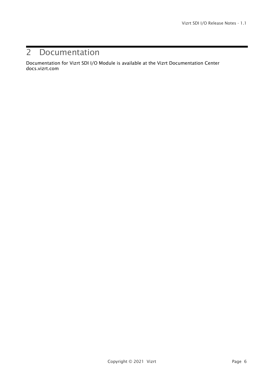### <span id="page-5-0"></span>2 Documentation

Documentation for Vizrt SDI I/O Module is available at the Vizrt Documentation Center docs.vizrt.com